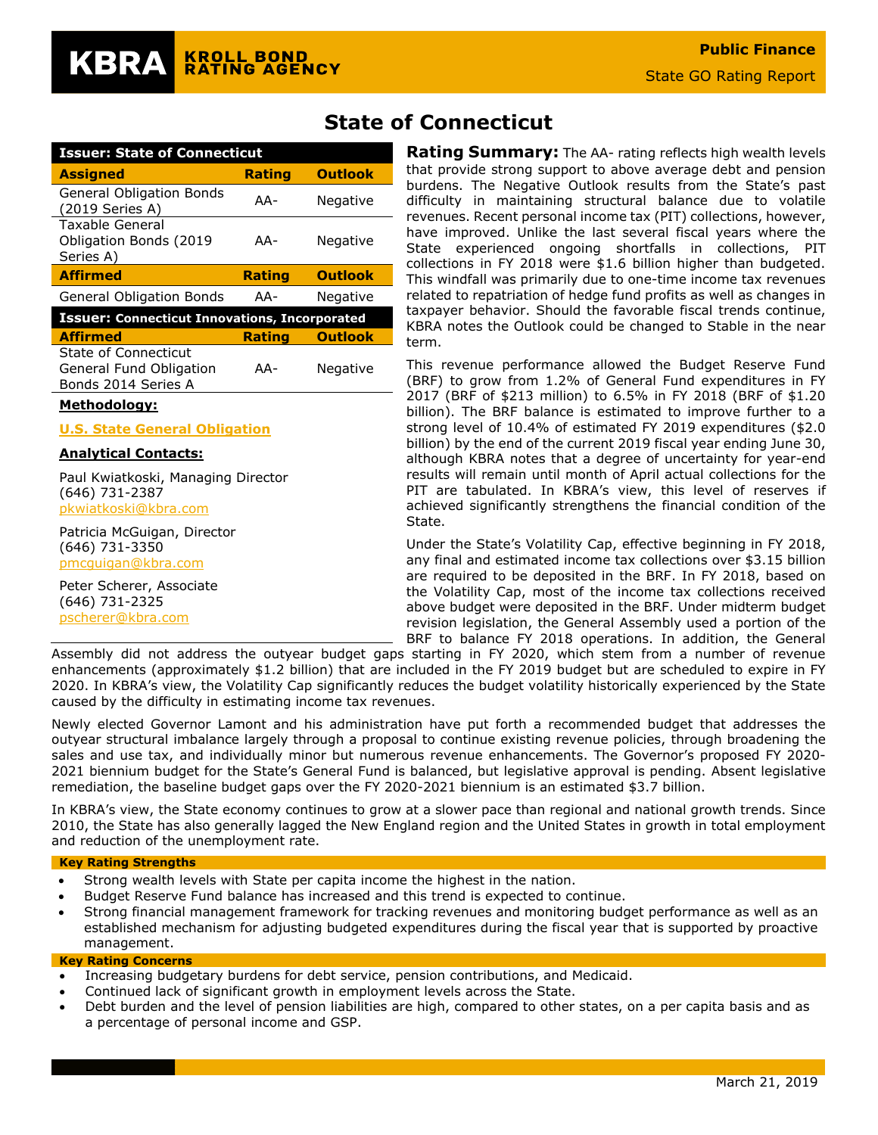| Issuer: State of Connecticut                                  |               |                |  |  |  |  |  |
|---------------------------------------------------------------|---------------|----------------|--|--|--|--|--|
| <b>Assigned</b>                                               | <b>Rating</b> | <b>Outlook</b> |  |  |  |  |  |
| <b>General Obligation Bonds</b><br>(2019 Series A)            | AA-           | Negative       |  |  |  |  |  |
| Taxable General<br><b>Obligation Bonds (2019</b><br>Series A) | AA-           | Negative       |  |  |  |  |  |
| <b>Affirmed</b>                                               | <b>Rating</b> | <b>Outlook</b> |  |  |  |  |  |
| <b>General Obligation Bonds</b>                               | AA-           | Negative       |  |  |  |  |  |
|                                                               |               |                |  |  |  |  |  |
| <b>Issuer: Connecticut Innovations, Incorporated</b>          |               |                |  |  |  |  |  |
| <b>Affirmed</b>                                               | <b>Rating</b> | <b>Outlook</b> |  |  |  |  |  |

#### **Methodology:**

**[U.S. State General Obligation](https://www.krollbondratings.com/show_report/74)**

#### **Analytical Contacts:**

Paul Kwiatkoski, Managing Director (646) 731-2387 [pkwiatkoski@kbra.com](mailto:pkwiatkoski@kbra.com)

Patricia McGuigan, Director (646) 731-3350 [pmcguigan@kbra.com](mailto:pmcguigan@kbra.com)

Peter Scherer, Associate (646) 731-2325 [pscherer@kbra.com](mailto:pscherer@kbra.com)

## **State of Connecticut**

**Rating Summary:** The AA- rating reflects high wealth levels that provide strong support to above average debt and pension burdens. The Negative Outlook results from the State's past difficulty in maintaining structural balance due to volatile revenues. Recent personal income tax (PIT) collections, however, have improved. Unlike the last several fiscal years where the State experienced ongoing shortfalls in collections, PIT collections in FY 2018 were \$1.6 billion higher than budgeted. This windfall was primarily due to one-time income tax revenues related to repatriation of hedge fund profits as well as changes in taxpayer behavior. Should the favorable fiscal trends continue, KBRA notes the Outlook could be changed to Stable in the near term.

This revenue performance allowed the Budget Reserve Fund (BRF) to grow from 1.2% of General Fund expenditures in FY 2017 (BRF of \$213 million) to 6.5% in FY 2018 (BRF of \$1.20 billion). The BRF balance is estimated to improve further to a strong level of 10.4% of estimated FY 2019 expenditures (\$2.0 billion) by the end of the current 2019 fiscal year ending June 30, although KBRA notes that a degree of uncertainty for year-end results will remain until month of April actual collections for the PIT are tabulated. In KBRA's view, this level of reserves if achieved significantly strengthens the financial condition of the State.

Under the State's Volatility Cap, effective beginning in FY 2018, any final and estimated income tax collections over \$3.15 billion are required to be deposited in the BRF. In FY 2018, based on the Volatility Cap, most of the income tax collections received above budget were deposited in the BRF. Under midterm budget revision legislation, the General Assembly used a portion of the BRF to balance FY 2018 operations. In addition, the General

Assembly did not address the outyear budget gaps starting in FY 2020, which stem from a number of revenue enhancements (approximately \$1.2 billion) that are included in the FY 2019 budget but are scheduled to expire in FY 2020. In KBRA's view, the Volatility Cap significantly reduces the budget volatility historically experienced by the State caused by the difficulty in estimating income tax revenues.

Newly elected Governor Lamont and his administration have put forth a recommended budget that addresses the outyear structural imbalance largely through a proposal to continue existing revenue policies, through broadening the sales and use tax, and individually minor but numerous revenue enhancements. The Governor's proposed FY 2020- 2021 biennium budget for the State's General Fund is balanced, but legislative approval is pending. Absent legislative remediation, the baseline budget gaps over the FY 2020-2021 biennium is an estimated \$3.7 billion.

In KBRA's view, the State economy continues to grow at a slower pace than regional and national growth trends. Since 2010, the State has also generally lagged the New England region and the United States in growth in total employment and reduction of the unemployment rate.

#### **Key Rating Strengths**

- Strong wealth levels with State per capita income the highest in the nation.
- Budget Reserve Fund balance has increased and this trend is expected to continue.
- Strong financial management framework for tracking revenues and monitoring budget performance as well as an established mechanism for adjusting budgeted expenditures during the fiscal year that is supported by proactive management.

#### **Key Rating Concerns**

- Increasing budgetary burdens for debt service, pension contributions, and Medicaid.
- Continued lack of significant growth in employment levels across the State.
- Debt burden and the level of pension liabilities are high, compared to other states, on a per capita basis and as a percentage of personal income and GSP.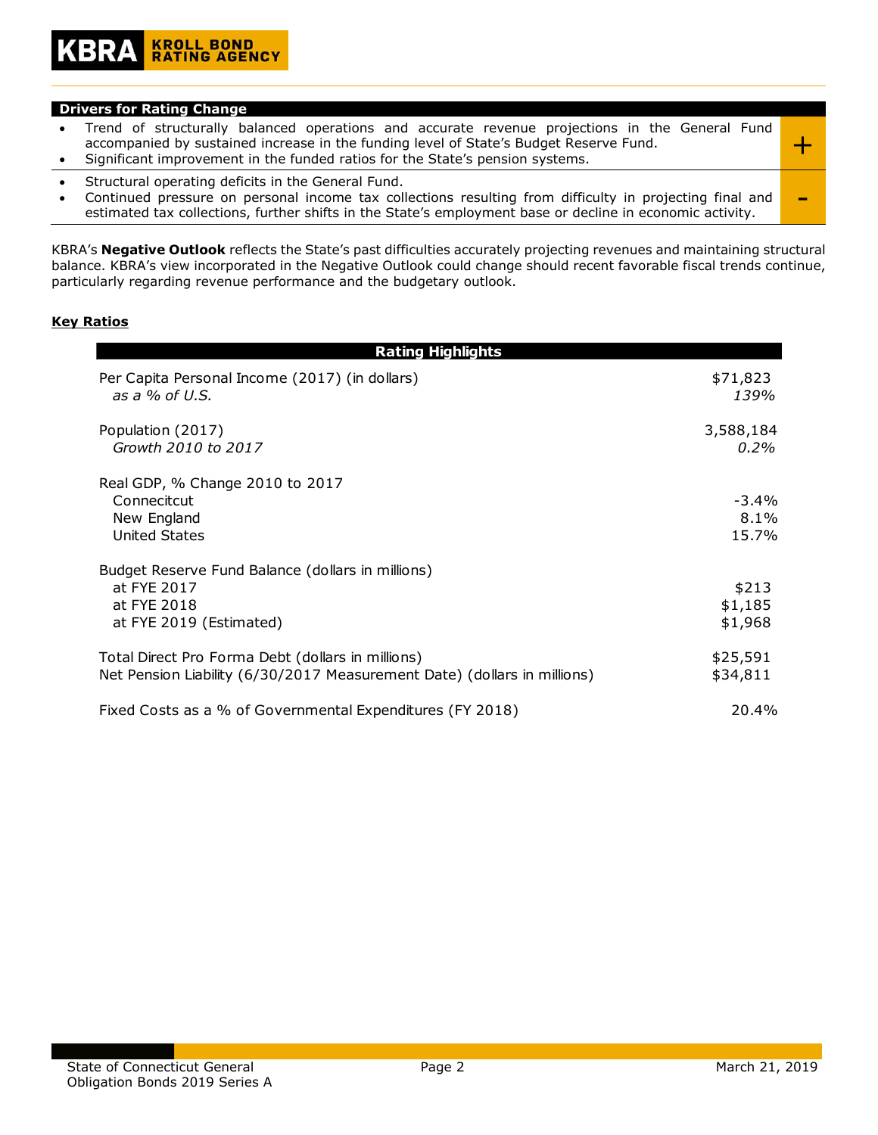#### **Drivers for Rating Change**

|                                                                                        | Significant improvement in the funded ratios for the State's pension systems.<br>$\alpha$ become the contraction of the state that the $\alpha$ contract $\blacksquare$ and the state of the state of the state of the state of the state of the state of the state of the state of the state of the state of the state of the |  |  |  |  |  |  |
|----------------------------------------------------------------------------------------|--------------------------------------------------------------------------------------------------------------------------------------------------------------------------------------------------------------------------------------------------------------------------------------------------------------------------------|--|--|--|--|--|--|
| accompanied by sustained increase in the funding level of State's Budget Reserve Fund. |                                                                                                                                                                                                                                                                                                                                |  |  |  |  |  |  |
|                                                                                        | Trend of structurally balanced operations and accurate revenue projections in the General Fund                                                                                                                                                                                                                                 |  |  |  |  |  |  |

- Structural operating deficits in the General Fund.
- Continued pressure on personal income tax collections resulting from difficulty in projecting final and Continued pressure on personal income tax collections resulting from difficulty in projecting final and  $\blacksquare$

KBRA's **Negative Outlook** reflects the State's past difficulties accurately projecting revenues and maintaining structural balance. KBRA's view incorporated in the Negative Outlook could change should recent favorable fiscal trends continue, particularly regarding revenue performance and the budgetary outlook.

#### **Key Ratios**

| <b>Rating Highlights</b>                                                                                                      |                             |
|-------------------------------------------------------------------------------------------------------------------------------|-----------------------------|
| Per Capita Personal Income (2017) (in dollars)<br>as a $%$ of U.S.                                                            | \$71,823<br>139%            |
| Population (2017)<br>Growth 2010 to 2017                                                                                      | 3,588,184<br>$0.2\%$        |
| Real GDP, % Change 2010 to 2017<br>Connecitcut<br>New England<br><b>United States</b>                                         | -3.4%<br>8.1%<br>15.7%      |
| Budget Reserve Fund Balance (dollars in millions)<br>at FYE 2017<br>at FYE 2018<br>at FYE 2019 (Estimated)                    | \$213<br>\$1,185<br>\$1,968 |
| Total Direct Pro Forma Debt (dollars in millions)<br>Net Pension Liability (6/30/2017 Measurement Date) (dollars in millions) | \$25,591<br>\$34,811        |
| Fixed Costs as a % of Governmental Expenditures (FY 2018)                                                                     | 20.4%                       |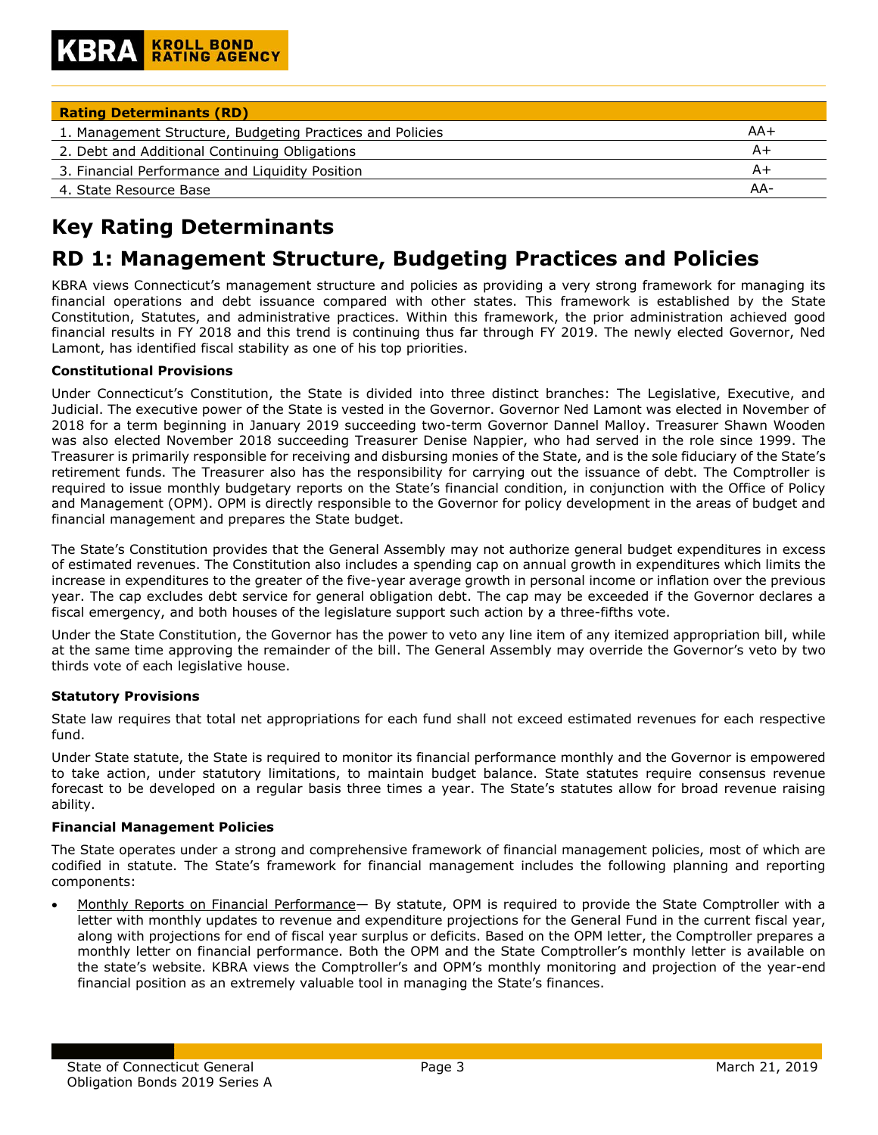| <b>Rating Determinants (RD)</b>                           |     |
|-----------------------------------------------------------|-----|
| 1. Management Structure, Budgeting Practices and Policies | AA+ |
| 2. Debt and Additional Continuing Obligations             | A+  |
| 3. Financial Performance and Liquidity Position           | A+  |
| 4. State Resource Base                                    | AA- |

# **Key Rating Determinants**

## **RD 1: Management Structure, Budgeting Practices and Policies**

KBRA views Connecticut's management structure and policies as providing a very strong framework for managing its financial operations and debt issuance compared with other states. This framework is established by the State Constitution, Statutes, and administrative practices. Within this framework, the prior administration achieved good financial results in FY 2018 and this trend is continuing thus far through FY 2019. The newly elected Governor, Ned Lamont, has identified fiscal stability as one of his top priorities.

#### **Constitutional Provisions**

Under Connecticut's Constitution, the State is divided into three distinct branches: The Legislative, Executive, and Judicial. The executive power of the State is vested in the Governor. Governor Ned Lamont was elected in November of 2018 for a term beginning in January 2019 succeeding two-term Governor Dannel Malloy. Treasurer Shawn Wooden was also elected November 2018 succeeding Treasurer Denise Nappier, who had served in the role since 1999. The Treasurer is primarily responsible for receiving and disbursing monies of the State, and is the sole fiduciary of the State's retirement funds. The Treasurer also has the responsibility for carrying out the issuance of debt. The Comptroller is required to issue monthly budgetary reports on the State's financial condition, in conjunction with the Office of Policy and Management (OPM). OPM is directly responsible to the Governor for policy development in the areas of budget and financial management and prepares the State budget.

The State's Constitution provides that the General Assembly may not authorize general budget expenditures in excess of estimated revenues. The Constitution also includes a spending cap on annual growth in expenditures which limits the increase in expenditures to the greater of the five-year average growth in personal income or inflation over the previous year. The cap excludes debt service for general obligation debt. The cap may be exceeded if the Governor declares a fiscal emergency, and both houses of the legislature support such action by a three-fifths vote.

Under the State Constitution, the Governor has the power to veto any line item of any itemized appropriation bill, while at the same time approving the remainder of the bill. The General Assembly may override the Governor's veto by two thirds vote of each legislative house.

#### **Statutory Provisions**

State law requires that total net appropriations for each fund shall not exceed estimated revenues for each respective fund.

Under State statute, the State is required to monitor its financial performance monthly and the Governor is empowered to take action, under statutory limitations, to maintain budget balance. State statutes require consensus revenue forecast to be developed on a regular basis three times a year. The State's statutes allow for broad revenue raising ability.

#### **Financial Management Policies**

The State operates under a strong and comprehensive framework of financial management policies, most of which are codified in statute. The State's framework for financial management includes the following planning and reporting components:

• Monthly Reports on Financial Performance— By statute, OPM is required to provide the State Comptroller with a letter with monthly updates to revenue and expenditure projections for the General Fund in the current fiscal year, along with projections for end of fiscal year surplus or deficits. Based on the OPM letter, the Comptroller prepares a monthly letter on financial performance. Both the OPM and the State Comptroller's monthly letter is available on the state's website. KBRA views the Comptroller's and OPM's monthly monitoring and projection of the year-end financial position as an extremely valuable tool in managing the State's finances.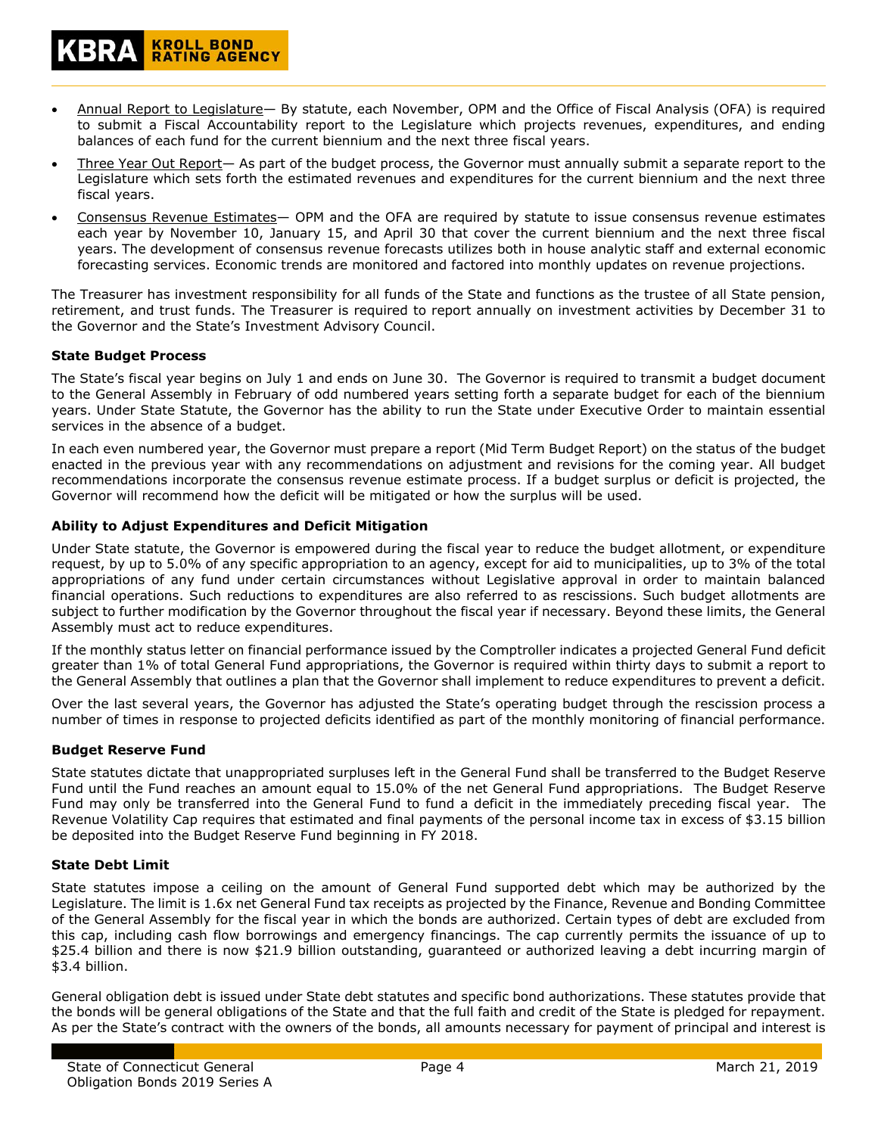- Three Year Out Report— As part of the budget process, the Governor must annually submit a separate report to the Legislature which sets forth the estimated revenues and expenditures for the current biennium and the next three fiscal years.
- Consensus Revenue Estimates— OPM and the OFA are required by statute to issue consensus revenue estimates each year by November 10, January 15, and April 30 that cover the current biennium and the next three fiscal years. The development of consensus revenue forecasts utilizes both in house analytic staff and external economic forecasting services. Economic trends are monitored and factored into monthly updates on revenue projections.

The Treasurer has investment responsibility for all funds of the State and functions as the trustee of all State pension, retirement, and trust funds. The Treasurer is required to report annually on investment activities by December 31 to the Governor and the State's Investment Advisory Council.

#### **State Budget Process**

The State's fiscal year begins on July 1 and ends on June 30. The Governor is required to transmit a budget document to the General Assembly in February of odd numbered years setting forth a separate budget for each of the biennium years. Under State Statute, the Governor has the ability to run the State under Executive Order to maintain essential services in the absence of a budget.

In each even numbered year, the Governor must prepare a report (Mid Term Budget Report) on the status of the budget enacted in the previous year with any recommendations on adjustment and revisions for the coming year. All budget recommendations incorporate the consensus revenue estimate process. If a budget surplus or deficit is projected, the Governor will recommend how the deficit will be mitigated or how the surplus will be used.

#### **Ability to Adjust Expenditures and Deficit Mitigation**

**KROLL BOND<br>RATING AGENCY** 

Under State statute, the Governor is empowered during the fiscal year to reduce the budget allotment, or expenditure request, by up to 5.0% of any specific appropriation to an agency, except for aid to municipalities, up to 3% of the total appropriations of any fund under certain circumstances without Legislative approval in order to maintain balanced financial operations. Such reductions to expenditures are also referred to as rescissions. Such budget allotments are subject to further modification by the Governor throughout the fiscal year if necessary. Beyond these limits, the General Assembly must act to reduce expenditures.

If the monthly status letter on financial performance issued by the Comptroller indicates a projected General Fund deficit greater than 1% of total General Fund appropriations, the Governor is required within thirty days to submit a report to the General Assembly that outlines a plan that the Governor shall implement to reduce expenditures to prevent a deficit.

Over the last several years, the Governor has adjusted the State's operating budget through the rescission process a number of times in response to projected deficits identified as part of the monthly monitoring of financial performance.

#### **Budget Reserve Fund**

State statutes dictate that unappropriated surpluses left in the General Fund shall be transferred to the Budget Reserve Fund until the Fund reaches an amount equal to 15.0% of the net General Fund appropriations. The Budget Reserve Fund may only be transferred into the General Fund to fund a deficit in the immediately preceding fiscal year. The Revenue Volatility Cap requires that estimated and final payments of the personal income tax in excess of \$3.15 billion be deposited into the Budget Reserve Fund beginning in FY 2018.

#### **State Debt Limit**

State statutes impose a ceiling on the amount of General Fund supported debt which may be authorized by the Legislature. The limit is 1.6x net General Fund tax receipts as projected by the Finance, Revenue and Bonding Committee of the General Assembly for the fiscal year in which the bonds are authorized. Certain types of debt are excluded from this cap, including cash flow borrowings and emergency financings. The cap currently permits the issuance of up to \$25.4 billion and there is now \$21.9 billion outstanding, guaranteed or authorized leaving a debt incurring margin of \$3.4 billion.

General obligation debt is issued under State debt statutes and specific bond authorizations. These statutes provide that the bonds will be general obligations of the State and that the full faith and credit of the State is pledged for repayment. As per the State's contract with the owners of the bonds, all amounts necessary for payment of principal and interest is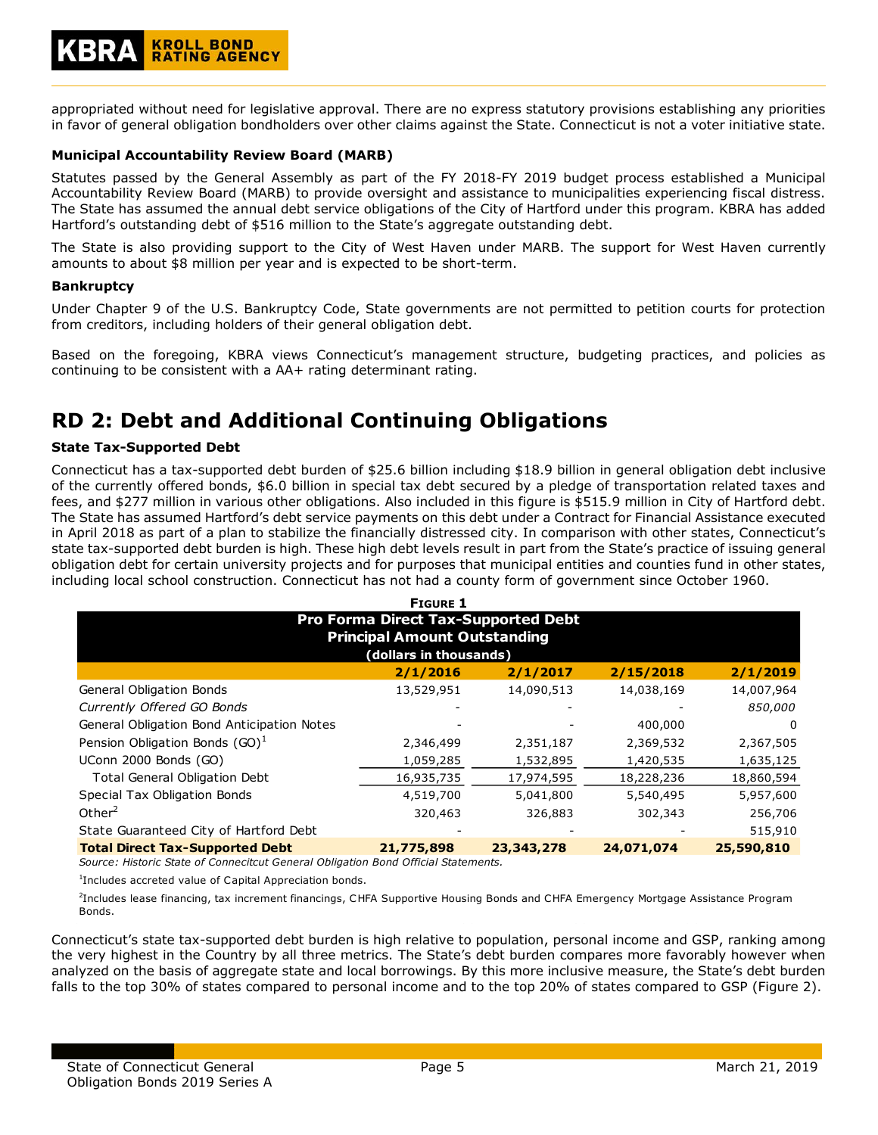appropriated without need for legislative approval. There are no express statutory provisions establishing any priorities in favor of general obligation bondholders over other claims against the State. Connecticut is not a voter initiative state.

#### **Municipal Accountability Review Board (MARB)**

Statutes passed by the General Assembly as part of the FY 2018-FY 2019 budget process established a Municipal Accountability Review Board (MARB) to provide oversight and assistance to municipalities experiencing fiscal distress. The State has assumed the annual debt service obligations of the City of Hartford under this program. KBRA has added Hartford's outstanding debt of \$516 million to the State's aggregate outstanding debt.

The State is also providing support to the City of West Haven under MARB. The support for West Haven currently amounts to about \$8 million per year and is expected to be short-term.

#### **Bankruptcy**

Under Chapter 9 of the U.S. Bankruptcy Code, State governments are not permitted to petition courts for protection from creditors, including holders of their general obligation debt.

Based on the foregoing, KBRA views Connecticut's management structure, budgeting practices, and policies as continuing to be consistent with a AA+ rating determinant rating.

## **RD 2: Debt and Additional Continuing Obligations**

#### **State Tax-Supported Debt**

Connecticut has a tax-supported debt burden of \$25.6 billion including \$18.9 billion in general obligation debt inclusive of the currently offered bonds, \$6.0 billion in special tax debt secured by a pledge of transportation related taxes and fees, and \$277 million in various other obligations. Also included in this figure is \$515.9 million in City of Hartford debt. The State has assumed Hartford's debt service payments on this debt under a Contract for Financial Assistance executed in April 2018 as part of a plan to stabilize the financially distressed city. In comparison with other states, Connecticut's state tax-supported debt burden is high. These high debt levels result in part from the State's practice of issuing general obligation debt for certain university projects and for purposes that municipal entities and counties fund in other states, including local school construction. Connecticut has not had a county form of government since October 1960.

| <b>FIGURE 1</b>                                                            |                        |            |            |            |  |  |  |  |  |
|----------------------------------------------------------------------------|------------------------|------------|------------|------------|--|--|--|--|--|
| Pro Forma Direct Tax-Supported Debt<br><b>Principal Amount Outstanding</b> |                        |            |            |            |  |  |  |  |  |
|                                                                            | (dollars in thousands) |            |            |            |  |  |  |  |  |
| 2/1/2017<br>2/1/2019<br>2/1/2016<br>2/15/2018                              |                        |            |            |            |  |  |  |  |  |
| <b>General Obligation Bonds</b>                                            | 13,529,951             | 14,090,513 | 14,038,169 | 14,007,964 |  |  |  |  |  |
| Currently Offered GO Bonds                                                 |                        |            |            | 850,000    |  |  |  |  |  |
| General Obligation Bond Anticipation Notes                                 |                        |            | 400,000    | $\Omega$   |  |  |  |  |  |
| Pension Obligation Bonds $(GO)^T$                                          | 2,346,499              | 2,351,187  | 2,369,532  | 2,367,505  |  |  |  |  |  |
| UConn 2000 Bonds (GO)                                                      | 1,059,285              | 1,532,895  | 1,420,535  | 1,635,125  |  |  |  |  |  |
| <b>Total General Obligation Debt</b>                                       | 16,935,735             | 17,974,595 | 18,228,236 | 18,860,594 |  |  |  |  |  |
| Special Tax Obligation Bonds                                               | 4,519,700              | 5,041,800  | 5,540,495  | 5,957,600  |  |  |  |  |  |
| Other $^2$                                                                 | 320,463                | 326,883    | 302,343    | 256,706    |  |  |  |  |  |
| State Guaranteed City of Hartford Debt                                     |                        |            |            | 515,910    |  |  |  |  |  |
| <b>Total Direct Tax-Supported Debt</b>                                     | 21,775,898             | 23,343,278 | 24,071,074 | 25,590,810 |  |  |  |  |  |

*Source: Historic State of Connecitcut General Obligation Bond Official Statements.*

1 Includes accreted value of Capital Appreciation bonds.

2 Includes lease financing, tax increment financings, CHFA Supportive Housing Bonds and CHFA Emergency Mortgage Assistance Program Bonds.

Connecticut's state tax-supported debt burden is high relative to population, personal income and GSP, ranking among the very highest in the Country by all three metrics. The State's debt burden compares more favorably however when analyzed on the basis of aggregate state and local borrowings. By this more inclusive measure, the State's debt burden falls to the top 30% of states compared to personal income and to the top 20% of states compared to GSP (Figure 2).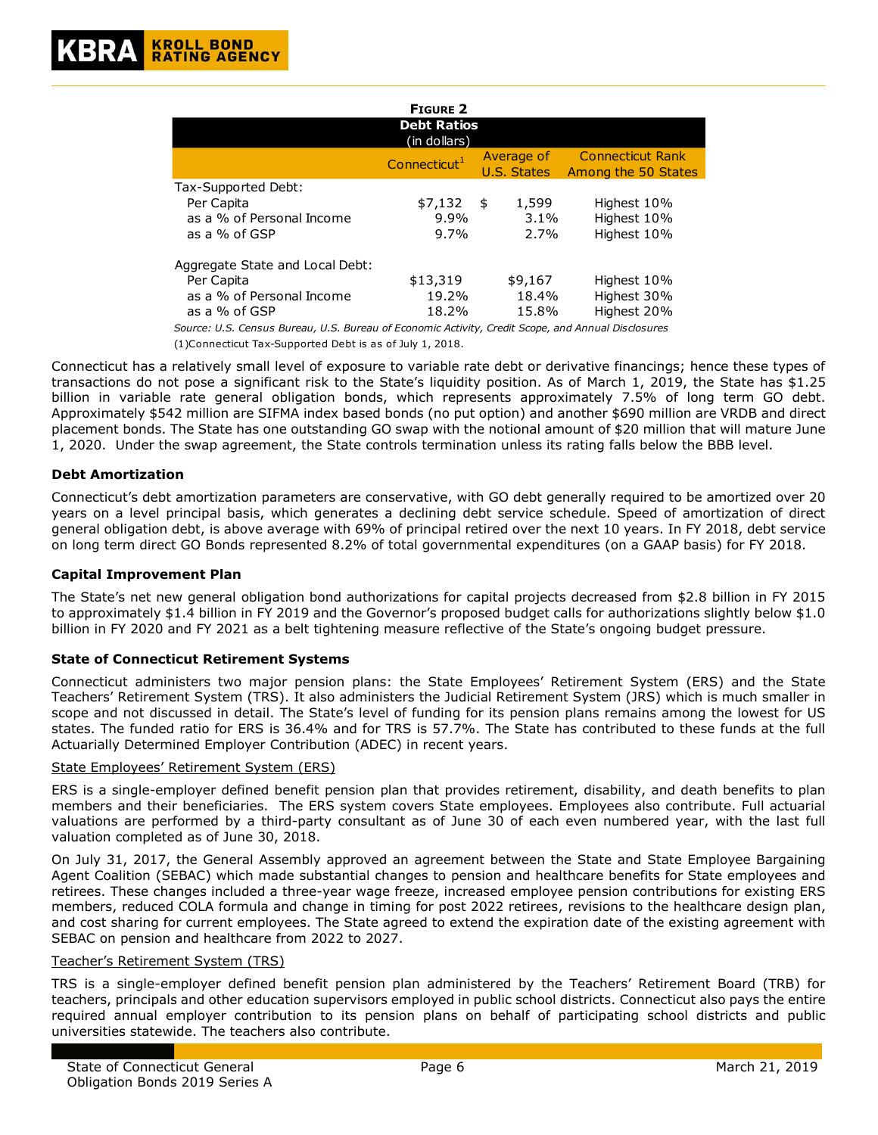| <b>FIGURE 2</b>                                                                             |                                   |  |                           |                                                |  |  |  |
|---------------------------------------------------------------------------------------------|-----------------------------------|--|---------------------------|------------------------------------------------|--|--|--|
| <b>Debt Ratios</b><br>(in dollars)                                                          |                                   |  |                           |                                                |  |  |  |
|                                                                                             | Connecticut <sup>1</sup>          |  | Average of<br>U.S. States | <b>Connecticut Rank</b><br>Among the 50 States |  |  |  |
| Tax-Supported Debt:<br>Per Capita<br>as a % of Personal Income<br>as a % of GSP             | $$7,132$ \$<br>$9.9\%$<br>$9.7\%$ |  | 1,599<br>$3.1\%$<br>2.7%  | Highest 10%<br>Highest 10%<br>Highest 10%      |  |  |  |
| Aggregate State and Local Debt:<br>Per Capita<br>as a % of Personal Income<br>as a % of GSP | \$13,319<br>19.2%<br>18.2%        |  | \$9,167<br>18.4%<br>15.8% | Highest 10%<br>Highest 30%<br>Highest 20%      |  |  |  |

*Source: U.S. Census Bureau, U.S. Bureau of Economic Activity, Credit Scope, and Annual Disclosures* (1)Connecticut Tax-Supported Debt is as of July 1, 2018.

Connecticut has a relatively small level of exposure to variable rate debt or derivative financings; hence these types of transactions do not pose a significant risk to the State's liquidity position. As of March 1, 2019, the State has \$1.25 billion in variable rate general obligation bonds, which represents approximately 7.5% of long term GO debt. Approximately \$542 million are SIFMA index based bonds (no put option) and another \$690 million are VRDB and direct placement bonds. The State has one outstanding GO swap with the notional amount of \$20 million that will mature June 1, 2020. Under the swap agreement, the State controls termination unless its rating falls below the BBB level.

#### **Debt Amortization**

Connecticut's debt amortization parameters are conservative, with GO debt generally required to be amortized over 20 years on a level principal basis, which generates a declining debt service schedule. Speed of amortization of direct general obligation debt, is above average with 69% of principal retired over the next 10 years. In FY 2018, debt service on long term direct GO Bonds represented 8.2% of total governmental expenditures (on a GAAP basis) for FY 2018.

#### **Capital Improvement Plan**

The State's net new general obligation bond authorizations for capital projects decreased from \$2.8 billion in FY 2015 to approximately \$1.4 billion in FY 2019 and the Governor's proposed budget calls for authorizations slightly below \$1.0 billion in FY 2020 and FY 2021 as a belt tightening measure reflective of the State's ongoing budget pressure.

#### **State of Connecticut Retirement Systems**

Connecticut administers two major pension plans: the State Employees' Retirement System (ERS) and the State Teachers' Retirement System (TRS). It also administers the Judicial Retirement System (JRS) which is much smaller in scope and not discussed in detail. The State's level of funding for its pension plans remains among the lowest for US states. The funded ratio for ERS is 36.4% and for TRS is 57.7%. The State has contributed to these funds at the full Actuarially Determined Employer Contribution (ADEC) in recent years.

#### State Employees' Retirement System (ERS)

ERS is a single-employer defined benefit pension plan that provides retirement, disability, and death benefits to plan members and their beneficiaries. The ERS system covers State employees. Employees also contribute. Full actuarial valuations are performed by a third-party consultant as of June 30 of each even numbered year, with the last full valuation completed as of June 30, 2018.

On July 31, 2017, the General Assembly approved an agreement between the State and State Employee Bargaining Agent Coalition (SEBAC) which made substantial changes to pension and healthcare benefits for State employees and retirees. These changes included a three-year wage freeze, increased employee pension contributions for existing ERS members, reduced COLA formula and change in timing for post 2022 retirees, revisions to the healthcare design plan, and cost sharing for current employees. The State agreed to extend the expiration date of the existing agreement with SEBAC on pension and healthcare from 2022 to 2027.

#### Teacher's Retirement System (TRS)

TRS is a single-employer defined benefit pension plan administered by the Teachers' Retirement Board (TRB) for teachers, principals and other education supervisors employed in public school districts. Connecticut also pays the entire required annual employer contribution to its pension plans on behalf of participating school districts and public universities statewide. The teachers also contribute.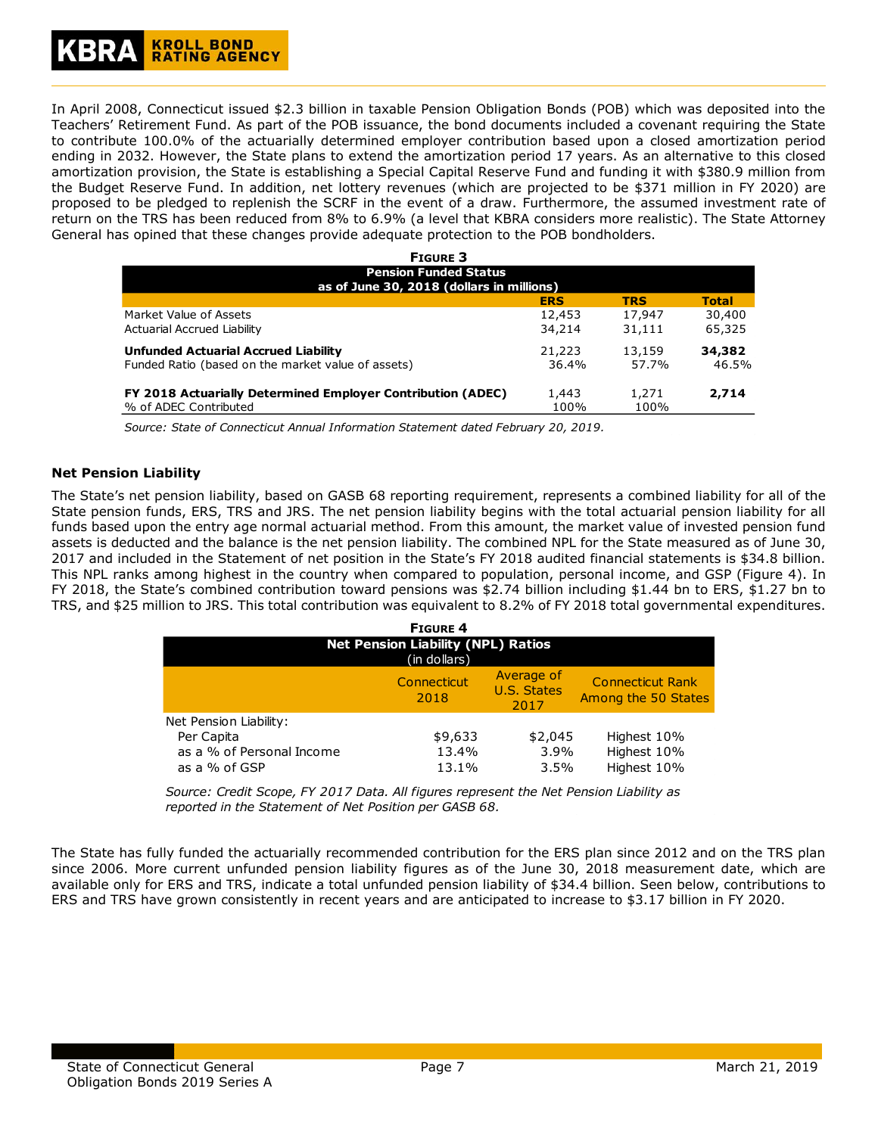# **KROLL BOND<br>RATING AGENCY**

In April 2008, Connecticut issued \$2.3 billion in taxable Pension Obligation Bonds (POB) which was deposited into the Teachers' Retirement Fund. As part of the POB issuance, the bond documents included a covenant requiring the State to contribute 100.0% of the actuarially determined employer contribution based upon a closed amortization period ending in 2032. However, the State plans to extend the amortization period 17 years. As an alternative to this closed amortization provision, the State is establishing a Special Capital Reserve Fund and funding it with \$380.9 million from the Budget Reserve Fund. In addition, net lottery revenues (which are projected to be \$371 million in FY 2020) are proposed to be pledged to replenish the SCRF in the event of a draw. Furthermore, the assumed investment rate of return on the TRS has been reduced from 8% to 6.9% (a level that KBRA considers more realistic). The State Attorney General has opined that these changes provide adequate protection to the POB bondholders.

| <b>FIGURE 3</b>                                                                       |        |        |        |  |  |  |  |  |
|---------------------------------------------------------------------------------------|--------|--------|--------|--|--|--|--|--|
| <b>Pension Funded Status</b>                                                          |        |        |        |  |  |  |  |  |
| as of June 30, 2018 (dollars in millions)<br><b>TRS</b><br><b>ERS</b><br><b>Total</b> |        |        |        |  |  |  |  |  |
| Market Value of Assets                                                                | 12,453 | 17,947 | 30,400 |  |  |  |  |  |
| Actuarial Accrued Liability                                                           | 34,214 | 31,111 | 65,325 |  |  |  |  |  |
| <b>Unfunded Actuarial Accrued Liability</b>                                           | 21,223 | 13,159 | 34,382 |  |  |  |  |  |
| Funded Ratio (based on the market value of assets)                                    | 36.4%  | 57.7%  | 46.5%  |  |  |  |  |  |
| <b>FY 2018 Actuarially Determined Employer Contribution (ADEC)</b>                    | 1,443  | 1,271  | 2,714  |  |  |  |  |  |
| % of ADEC Contributed                                                                 | 100%   | 100%   |        |  |  |  |  |  |

*Source: State of Connecticut Annual Information Statement dated February 20, 2019.*

#### **Net Pension Liability**

The State's net pension liability, based on GASB 68 reporting requirement, represents a combined liability for all of the State pension funds, ERS, TRS and JRS. The net pension liability begins with the total actuarial pension liability for all funds based upon the entry age normal actuarial method. From this amount, the market value of invested pension fund assets is deducted and the balance is the net pension liability. The combined NPL for the State measured as of June 30, 2017 and included in the Statement of net position in the State's FY 2018 audited financial statements is \$34.8 billion. This NPL ranks among highest in the country when compared to population, personal income, and GSP (Figure 4). In FY 2018, the State's combined contribution toward pensions was \$2.74 billion including \$1.44 bn to ERS, \$1.27 bn to TRS, and \$25 million to JRS. This total contribution was equivalent to 8.2% of FY 2018 total governmental expenditures.

| <b>FIGURE 4</b>                                           |                     |                                          |                                                |  |  |  |
|-----------------------------------------------------------|---------------------|------------------------------------------|------------------------------------------------|--|--|--|
| <b>Net Pension Liability (NPL) Ratios</b><br>(in dollars) |                     |                                          |                                                |  |  |  |
|                                                           | Connecticut<br>2018 | Average of<br><b>U.S. States</b><br>2017 | <b>Connecticut Rank</b><br>Among the 50 States |  |  |  |
| Net Pension Liability:                                    |                     |                                          |                                                |  |  |  |
| Per Capita                                                | \$9,633             | \$2,045                                  | Highest 10%                                    |  |  |  |
| as a % of Personal Income                                 | 13.4%               | 3.9%                                     | Highest 10%                                    |  |  |  |
| as a % of GSP                                             | 13.1%               | $3.5\%$                                  | Highest 10%                                    |  |  |  |

*Source: Credit Scope, FY 2017 Data. All figures represent the Net Pension Liability as reported in the Statement of Net Position per GASB 68.*

The State has fully funded the actuarially recommended contribution for the ERS plan since 2012 and on the TRS plan since 2006. More current unfunded pension liability figures as of the June 30, 2018 measurement date, which are available only for ERS and TRS, indicate a total unfunded pension liability of \$34.4 billion. Seen below, contributions to ERS and TRS have grown consistently in recent years and are anticipated to increase to \$3.17 billion in FY 2020.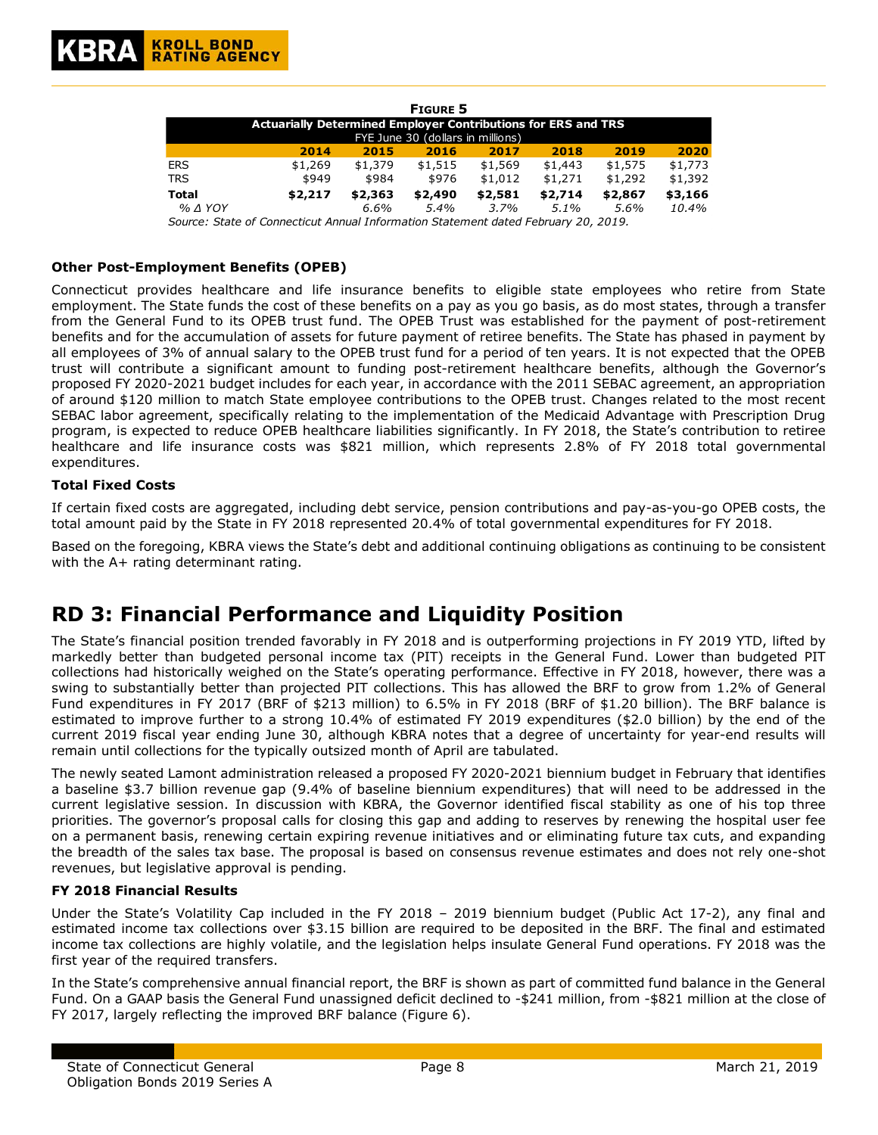| <b>FIGURE 5</b>                                                      |         |         |         |         |         |         |         |  |
|----------------------------------------------------------------------|---------|---------|---------|---------|---------|---------|---------|--|
| <b>Actuarially Determined Employer Contributions for ERS and TRS</b> |         |         |         |         |         |         |         |  |
| FYE June 30 (dollars in millions)                                    |         |         |         |         |         |         |         |  |
|                                                                      | 2014    | 2015    | 2016    | 2017    | 2018    | 2019    | 2020    |  |
| <b>ERS</b>                                                           | \$1,269 | \$1,379 | \$1,515 | \$1,569 | \$1,443 | \$1,575 | \$1,773 |  |
| <b>TRS</b>                                                           | \$949   | \$984   | \$976   | \$1,012 | \$1,271 | \$1,292 | \$1,392 |  |
| <b>Total</b>                                                         | \$2,217 | \$2,363 | \$2,490 | \$2,581 | \$2,714 | \$2,867 | \$3,166 |  |
| $%$ $\triangle$ YOY                                                  |         | $6.6\%$ | $5.4\%$ | 3.7%    | $5.1\%$ | 5.6%    | 10.4%   |  |

*Source: State of Connecticut Annual Information Statement dated February 20, 2019.*

#### **Other Post-Employment Benefits (OPEB)**

Connecticut provides healthcare and life insurance benefits to eligible state employees who retire from State employment. The State funds the cost of these benefits on a pay as you go basis, as do most states, through a transfer from the General Fund to its OPEB trust fund. The OPEB Trust was established for the payment of post-retirement benefits and for the accumulation of assets for future payment of retiree benefits. The State has phased in payment by all employees of 3% of annual salary to the OPEB trust fund for a period of ten years. It is not expected that the OPEB trust will contribute a significant amount to funding post-retirement healthcare benefits, although the Governor's proposed FY 2020-2021 budget includes for each year, in accordance with the 2011 SEBAC agreement, an appropriation of around \$120 million to match State employee contributions to the OPEB trust. Changes related to the most recent SEBAC labor agreement, specifically relating to the implementation of the Medicaid Advantage with Prescription Drug program, is expected to reduce OPEB healthcare liabilities significantly. In FY 2018, the State's contribution to retiree healthcare and life insurance costs was \$821 million, which represents 2.8% of FY 2018 total governmental expenditures.

#### **Total Fixed Costs**

If certain fixed costs are aggregated, including debt service, pension contributions and pay-as-you-go OPEB costs, the total amount paid by the State in FY 2018 represented 20.4% of total governmental expenditures for FY 2018.

Based on the foregoing, KBRA views the State's debt and additional continuing obligations as continuing to be consistent with the A+ rating determinant rating.

## **RD 3: Financial Performance and Liquidity Position**

The State's financial position trended favorably in FY 2018 and is outperforming projections in FY 2019 YTD, lifted by markedly better than budgeted personal income tax (PIT) receipts in the General Fund. Lower than budgeted PIT collections had historically weighed on the State's operating performance. Effective in FY 2018, however, there was a swing to substantially better than projected PIT collections. This has allowed the BRF to grow from 1.2% of General Fund expenditures in FY 2017 (BRF of \$213 million) to 6.5% in FY 2018 (BRF of \$1.20 billion). The BRF balance is estimated to improve further to a strong 10.4% of estimated FY 2019 expenditures (\$2.0 billion) by the end of the current 2019 fiscal year ending June 30, although KBRA notes that a degree of uncertainty for year-end results will remain until collections for the typically outsized month of April are tabulated.

The newly seated Lamont administration released a proposed FY 2020-2021 biennium budget in February that identifies a baseline \$3.7 billion revenue gap (9.4% of baseline biennium expenditures) that will need to be addressed in the current legislative session. In discussion with KBRA, the Governor identified fiscal stability as one of his top three priorities. The governor's proposal calls for closing this gap and adding to reserves by renewing the hospital user fee on a permanent basis, renewing certain expiring revenue initiatives and or eliminating future tax cuts, and expanding the breadth of the sales tax base. The proposal is based on consensus revenue estimates and does not rely one-shot revenues, but legislative approval is pending.

#### **FY 2018 Financial Results**

Under the State's Volatility Cap included in the FY 2018 – 2019 biennium budget (Public Act 17-2), any final and estimated income tax collections over \$3.15 billion are required to be deposited in the BRF. The final and estimated income tax collections are highly volatile, and the legislation helps insulate General Fund operations. FY 2018 was the first year of the required transfers.

In the State's comprehensive annual financial report, the BRF is shown as part of committed fund balance in the General Fund. On a GAAP basis the General Fund unassigned deficit declined to -\$241 million, from -\$821 million at the close of FY 2017, largely reflecting the improved BRF balance (Figure 6).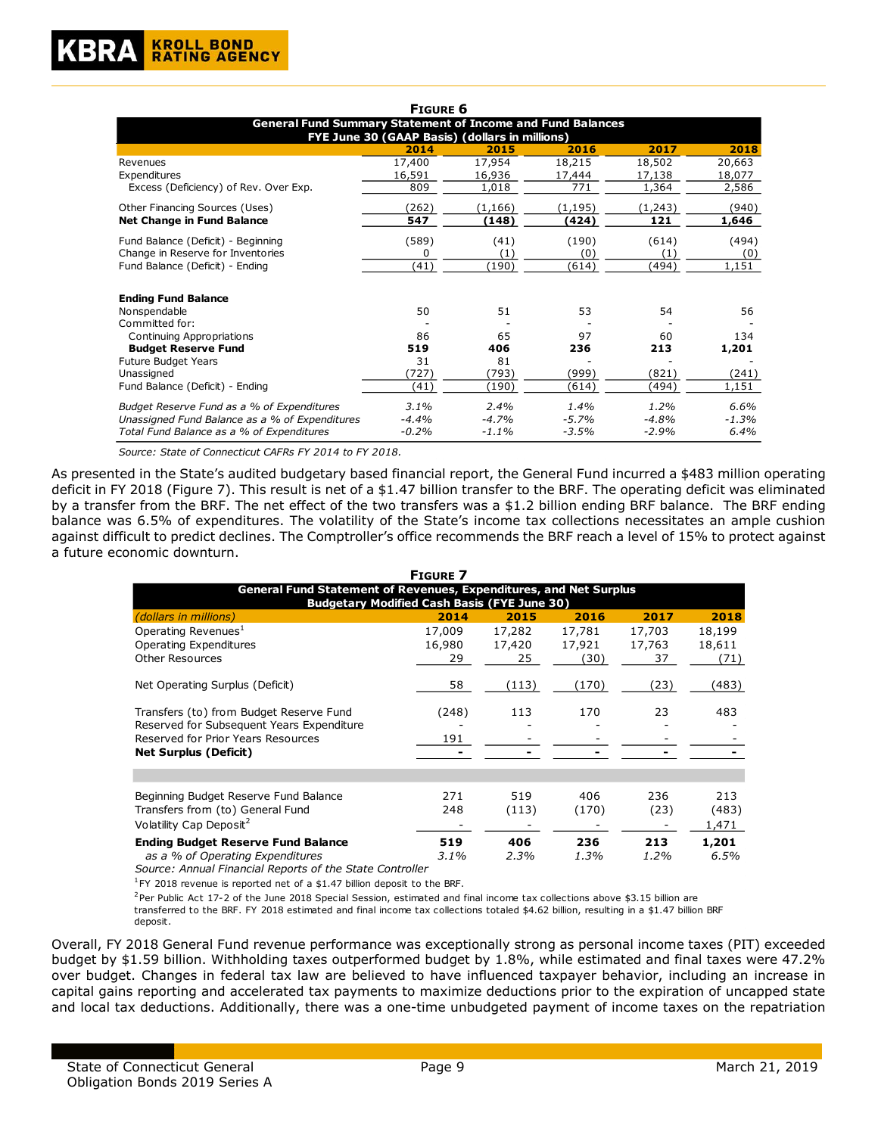|                                                                                                                     | <b>FIGURE 6</b> |          |         |         |         |  |  |  |  |
|---------------------------------------------------------------------------------------------------------------------|-----------------|----------|---------|---------|---------|--|--|--|--|
| <b>General Fund Summary Statement of Income and Fund Balances</b><br>FYE June 30 (GAAP Basis) (dollars in millions) |                 |          |         |         |         |  |  |  |  |
|                                                                                                                     | 2014            | 2015     | 2016    | 2017    | 2018    |  |  |  |  |
| Revenues                                                                                                            | 17,400          | 17,954   | 18,215  | 18,502  | 20,663  |  |  |  |  |
| Expenditures                                                                                                        | 16,591          | 16,936   | 17,444  | 17,138  | 18,077  |  |  |  |  |
| Excess (Deficiency) of Rev. Over Exp.                                                                               | 809             | 1,018    | 771     | 1,364   | 2,586   |  |  |  |  |
| Other Financing Sources (Uses)                                                                                      | (262)           | (1, 166) | (1,195) | (1,243) | (940)   |  |  |  |  |
| <b>Net Change in Fund Balance</b>                                                                                   | 547             | (148)    | (424)   | 121     | 1,646   |  |  |  |  |
| Fund Balance (Deficit) - Beginning                                                                                  | (589)           | (41)     | (190)   | (614)   | (494)   |  |  |  |  |
| Change in Reserve for Inventories                                                                                   | 0               | (1)      | (0)     | (1)     | (0)     |  |  |  |  |
| Fund Balance (Deficit) - Ending                                                                                     | (41)            | (190)    | (614)   | (494)   | 1,151   |  |  |  |  |
| <b>Ending Fund Balance</b>                                                                                          |                 |          |         |         |         |  |  |  |  |
| Nonspendable                                                                                                        | 50              | 51       | 53      | 54      | 56      |  |  |  |  |
| Committed for:                                                                                                      |                 |          |         |         |         |  |  |  |  |
| Continuing Appropriations                                                                                           | 86              | 65       | 97      | 60      | 134     |  |  |  |  |
| <b>Budget Reserve Fund</b>                                                                                          | 519             | 406      | 236     | 213     | 1,201   |  |  |  |  |
| Future Budget Years                                                                                                 | 31              | 81       |         |         |         |  |  |  |  |
| Unassigned                                                                                                          | (727)           | (793)    | (999)   | (821)   | (241)   |  |  |  |  |
| Fund Balance (Deficit) - Ending                                                                                     | (41)            | (190)    | (614)   | (494)   | 1,151   |  |  |  |  |
| Budget Reserve Fund as a % of Expenditures                                                                          | 3.1%            | 2.4%     | 1.4%    | 1.2%    | 6.6%    |  |  |  |  |
| Unassigned Fund Balance as a % of Expenditures                                                                      | $-4.4%$         | $-4.7%$  | $-5.7%$ | $-4.8%$ | $-1.3%$ |  |  |  |  |
| Total Fund Balance as a % of Expenditures                                                                           | $-0.2%$         | $-1.1%$  | $-3.5%$ | $-2.9%$ | 6.4%    |  |  |  |  |

*Source: State of Connecticut CAFRs FY 2014 to FY 2018.*

As presented in the State's audited budgetary based financial report, the General Fund incurred a \$483 million operating deficit in FY 2018 (Figure 7). This result is net of a \$1.47 billion transfer to the BRF. The operating deficit was eliminated by a transfer from the BRF. The net effect of the two transfers was a \$1.2 billion ending BRF balance. The BRF ending balance was 6.5% of expenditures. The volatility of the State's income tax collections necessitates an ample cushion against difficult to predict declines. The Comptroller's office recommends the BRF reach a level of 15% to protect against a future economic downturn.

|                                                                                                                                                            | <b>FIGURE 7</b>        |                        |                          |                        |                          |  |  |  |  |
|------------------------------------------------------------------------------------------------------------------------------------------------------------|------------------------|------------------------|--------------------------|------------------------|--------------------------|--|--|--|--|
| <b>General Fund Statement of Revenues, Expenditures, and Net Surplus</b>                                                                                   |                        |                        |                          |                        |                          |  |  |  |  |
| <b>Budgetary Modified Cash Basis (FYE June 30)</b><br>2014<br>2015<br>2016<br>2017<br>2018<br><i>(dollars in millions)</i>                                 |                        |                        |                          |                        |                          |  |  |  |  |
| Operating Revenues <sup>1</sup><br>Operating Expenditures<br><b>Other Resources</b>                                                                        | 17,009<br>16,980<br>29 | 17,282<br>17,420<br>25 | 17,781<br>17,921<br>(30) | 17,703<br>17,763<br>37 | 18,199<br>18,611<br>(71) |  |  |  |  |
| Net Operating Surplus (Deficit)                                                                                                                            | 58                     | (113)                  | (170)                    | (23)                   | (483)                    |  |  |  |  |
| Transfers (to) from Budget Reserve Fund<br>Reserved for Subsequent Years Expenditure<br>Reserved for Prior Years Resources<br><b>Net Surplus (Deficit)</b> | (248)<br>191           | 113                    | 170                      | 23                     | 483                      |  |  |  |  |
|                                                                                                                                                            |                        |                        |                          |                        |                          |  |  |  |  |
| Beginning Budget Reserve Fund Balance<br>Transfers from (to) General Fund<br>Volatility Cap Deposit <sup>2</sup>                                           | 271<br>248             | 519<br>(113)           | 406<br>(170)             | 236<br>(23)            | 213<br>(483)<br>1,471    |  |  |  |  |
| <b>Ending Budget Reserve Fund Balance</b><br>as a % of Operating Expenditures                                                                              | 519<br>3.1%            | 406<br>2.3%            | 236<br>1.3%              | 213<br>1.2%            | 1,201<br>6.5%            |  |  |  |  |

*Source: Annual Financial Reports of the State Controller*

 $1$ FY 2018 revenue is reported net of a \$1.47 billion deposit to the BRF.

 $2$ Per Public Act 17-2 of the June 2018 Special Session, estimated and final income tax collections above \$3.15 billion are transferred to the BRF. FY 2018 estimated and final income tax collections totaled \$4.62 billion, resulting in a \$1.47 billion BRF deposit.

Overall, FY 2018 General Fund revenue performance was exceptionally strong as personal income taxes (PIT) exceeded budget by \$1.59 billion. Withholding taxes outperformed budget by 1.8%, while estimated and final taxes were 47.2% over budget. Changes in federal tax law are believed to have influenced taxpayer behavior, including an increase in capital gains reporting and accelerated tax payments to maximize deductions prior to the expiration of uncapped state and local tax deductions. Additionally, there was a one-time unbudgeted payment of income taxes on the repatriation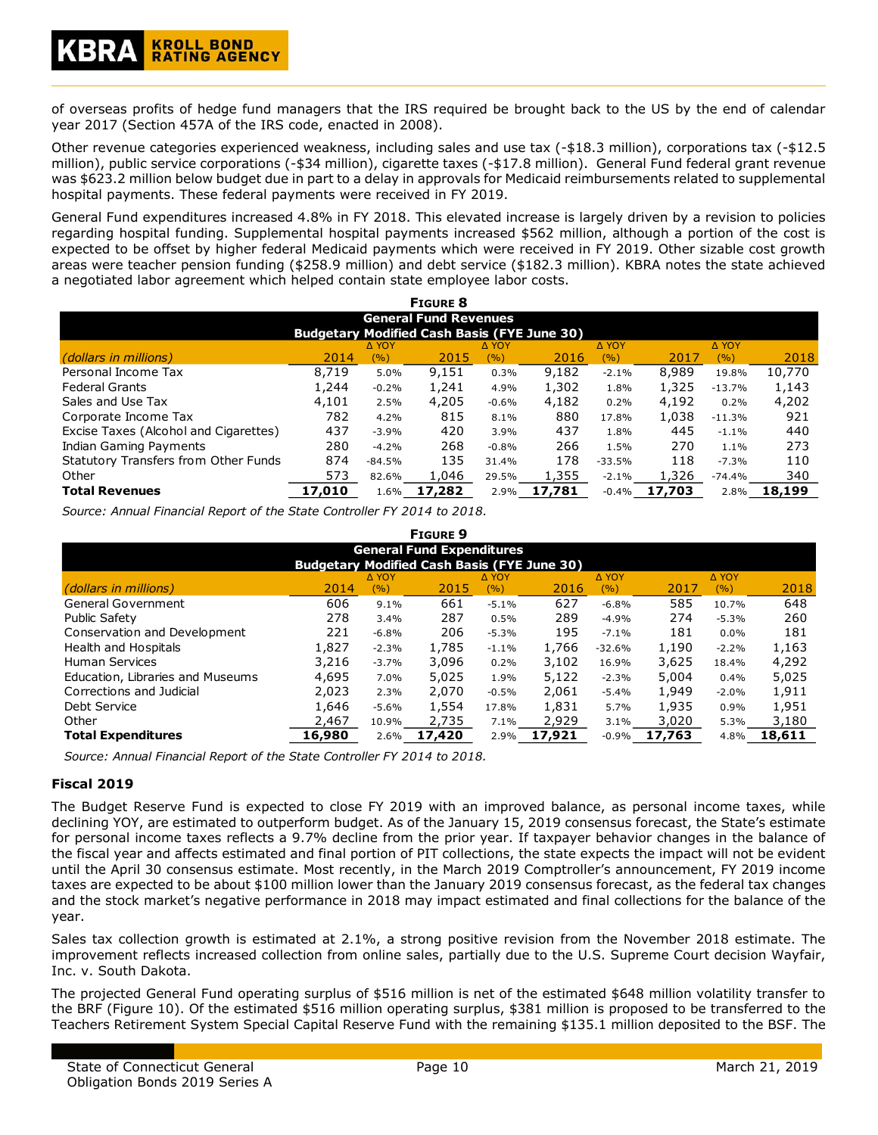of overseas profits of hedge fund managers that the IRS required be brought back to the US by the end of calendar year 2017 (Section 457A of the IRS code, enacted in 2008).

Other revenue categories experienced weakness, including sales and use tax (-\$18.3 million), corporations tax (-\$12.5 million), public service corporations (-\$34 million), cigarette taxes (-\$17.8 million). General Fund federal grant revenue was \$623.2 million below budget due in part to a delay in approvals for Medicaid reimbursements related to supplemental hospital payments. These federal payments were received in FY 2019.

General Fund expenditures increased 4.8% in FY 2018. This elevated increase is largely driven by a revision to policies regarding hospital funding. Supplemental hospital payments increased \$562 million, although a portion of the cost is expected to be offset by higher federal Medicaid payments which were received in FY 2019. Other sizable cost growth areas were teacher pension funding (\$258.9 million) and debt service (\$182.3 million). KBRA notes the state achieved a negotiated labor agreement which helped contain state employee labor costs.

| <b>FIGURE 8</b>                             |                                                    |              |        |              |        |              |        |              |        |
|---------------------------------------------|----------------------------------------------------|--------------|--------|--------------|--------|--------------|--------|--------------|--------|
| <b>General Fund Revenues</b>                |                                                    |              |        |              |        |              |        |              |        |
|                                             | <b>Budgetary Modified Cash Basis (FYE June 30)</b> |              |        |              |        |              |        |              |        |
|                                             |                                                    | <b>A YOY</b> |        | <b>A YOY</b> |        | <b>A YOY</b> |        | <b>A YOY</b> |        |
| (dollars in millions)                       | 2014                                               | (%)          | 2015   | (%)          | 2016   | (%)          | 2017   | (%)          | 2018   |
| Personal Income Tax                         | 8,719                                              | 5.0%         | 9,151  | 0.3%         | 9,182  | $-2.1%$      | 8,989  | 19.8%        | 10,770 |
| <b>Federal Grants</b>                       | 1,244                                              | $-0.2%$      | 1,241  | 4.9%         | 1,302  | 1.8%         | 1,325  | $-13.7%$     | 1,143  |
| Sales and Use Tax                           | 4,101                                              | 2.5%         | 4,205  | $-0.6%$      | 4,182  | 0.2%         | 4,192  | 0.2%         | 4,202  |
| Corporate Income Tax                        | 782                                                | 4.2%         | 815    | 8.1%         | 880    | 17.8%        | 1,038  | $-11.3%$     | 921    |
| Excise Taxes (Alcohol and Cigarettes)       | 437                                                | $-3.9%$      | 420    | 3.9%         | 437    | 1.8%         | 445    | $-1.1%$      | 440    |
| Indian Gaming Payments                      | 280                                                | $-4.2%$      | 268    | $-0.8%$      | 266    | 1.5%         | 270    | 1.1%         | 273    |
| <b>Statutory Transfers from Other Funds</b> | 874                                                | $-84.5%$     | 135    | 31.4%        | 178    | $-33.5%$     | 118    | $-7.3%$      | 110    |
| Other                                       | 573                                                | 82.6%        | 1,046  | 29.5%        | 1,355  | $-2.1\%$     | 1,326  | $-74.4%$     | 340    |
| <b>Total Revenues</b>                       | 17,010                                             | 1.6%         | 17,282 | 2.9%         | 17,781 | $-0.4%$      | 17,703 | 2.8%         | 18,199 |

*Source: Annual Financial Report of the State Controller FY 2014 to 2018.*

| <b>FIGURE 9</b>                                    |        |              |        |         |        |              |        |              |        |
|----------------------------------------------------|--------|--------------|--------|---------|--------|--------------|--------|--------------|--------|
| <b>General Fund Expenditures</b>                   |        |              |        |         |        |              |        |              |        |
| <b>Budgetary Modified Cash Basis (FYE June 30)</b> |        |              |        |         |        |              |        |              |        |
|                                                    |        | <b>A YOY</b> |        | Δ ΥΟΥ   |        | <b>A YOY</b> |        | <b>A YOY</b> |        |
| (dollars in millions)                              | 2014   | (%)          | 2015   | (%)     | 2016   | (%)          | 2017   | (9/6)        | 2018   |
| <b>General Government</b>                          | 606    | 9.1%         | 661    | $-5.1%$ | 627    | $-6.8%$      | 585    | 10.7%        | 648    |
| <b>Public Safety</b>                               | 278    | 3.4%         | 287    | 0.5%    | 289    | $-4.9%$      | 274    | $-5.3%$      | 260    |
| Conservation and Development                       | 221    | $-6.8%$      | 206    | $-5.3%$ | 195    | $-7.1%$      | 181    | $0.0\%$      | 181    |
| Health and Hospitals                               | 1,827  | $-2.3%$      | 1,785  | $-1.1%$ | 1,766  | $-32.6%$     | 1,190  | $-2.2%$      | 1,163  |
| <b>Human Services</b>                              | 3,216  | $-3.7%$      | 3,096  | 0.2%    | 3,102  | 16.9%        | 3,625  | 18.4%        | 4,292  |
| Education, Libraries and Museums                   | 4,695  | 7.0%         | 5,025  | 1.9%    | 5,122  | $-2.3%$      | 5,004  | 0.4%         | 5,025  |
| Corrections and Judicial                           | 2,023  | 2.3%         | 2,070  | $-0.5%$ | 2,061  | $-5.4%$      | 1,949  | $-2.0%$      | 1,911  |
| Debt Service                                       | 1,646  | $-5.6%$      | 1,554  | 17.8%   | 1,831  | 5.7%         | 1,935  | 0.9%         | 1,951  |
| Other                                              | 2,467  | 10.9%        | 2,735  | 7.1%    | 2,929  | 3.1%         | 3,020  | 5.3%         | 3,180  |
| <b>Total Expenditures</b>                          | 16,980 | 2.6%         | 17,420 | 2.9%    | 17,921 | $-0.9%$      | 17,763 | 4.8%         | 18,611 |

*Source: Annual Financial Report of the State Controller FY 2014 to 2018.*

#### **Fiscal 2019**

The Budget Reserve Fund is expected to close FY 2019 with an improved balance, as personal income taxes, while declining YOY, are estimated to outperform budget. As of the January 15, 2019 consensus forecast, the State's estimate for personal income taxes reflects a 9.7% decline from the prior year. If taxpayer behavior changes in the balance of the fiscal year and affects estimated and final portion of PIT collections, the state expects the impact will not be evident until the April 30 consensus estimate. Most recently, in the March 2019 Comptroller's announcement, FY 2019 income taxes are expected to be about \$100 million lower than the January 2019 consensus forecast, as the federal tax changes and the stock market's negative performance in 2018 may impact estimated and final collections for the balance of the year.

Sales tax collection growth is estimated at 2.1%, a strong positive revision from the November 2018 estimate. The improvement reflects increased collection from online sales, partially due to the U.S. Supreme Court decision Wayfair, Inc. v. South Dakota.

The projected General Fund operating surplus of \$516 million is net of the estimated \$648 million volatility transfer to the BRF (Figure 10). Of the estimated \$516 million operating surplus, \$381 million is proposed to be transferred to the Teachers Retirement System Special Capital Reserve Fund with the remaining \$135.1 million deposited to the BSF. The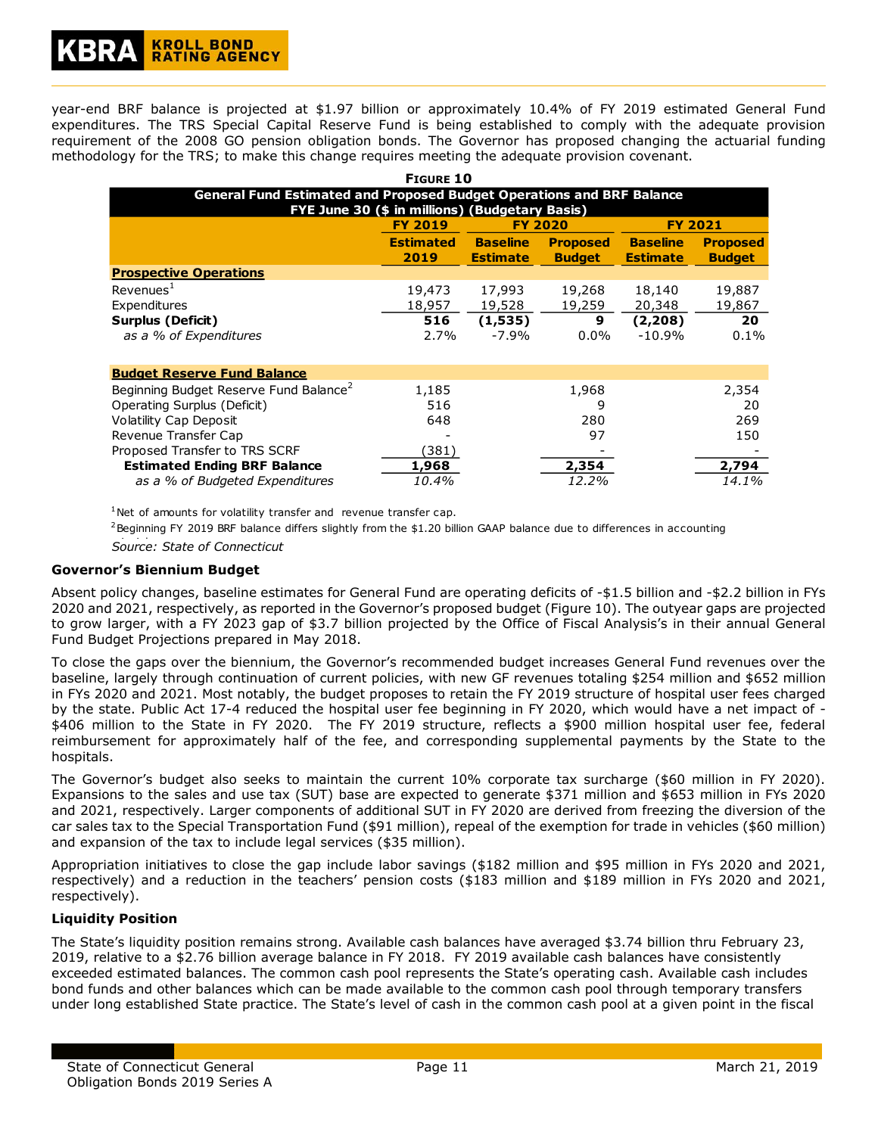year-end BRF balance is projected at \$1.97 billion or approximately 10.4% of FY 2019 estimated General Fund expenditures. The TRS Special Capital Reserve Fund is being established to comply with the adequate provision requirement of the 2008 GO pension obligation bonds. The Governor has proposed changing the actuarial funding methodology for the TRS; to make this change requires meeting the adequate provision covenant.

| <b>FIGURE 10</b>                                                             |                  |                 |                 |                 |                 |  |  |  |
|------------------------------------------------------------------------------|------------------|-----------------|-----------------|-----------------|-----------------|--|--|--|
| <b>General Fund Estimated and Proposed Budget Operations and BRF Balance</b> |                  |                 |                 |                 |                 |  |  |  |
| FYE June 30 (\$ in millions) (Budgetary Basis)                               |                  |                 |                 |                 |                 |  |  |  |
|                                                                              | <b>FY 2019</b>   |                 | <b>FY 2020</b>  | <b>FY 2021</b>  |                 |  |  |  |
|                                                                              | <b>Estimated</b> | <b>Baseline</b> | <b>Proposed</b> | <b>Baseline</b> | <b>Proposed</b> |  |  |  |
|                                                                              | 2019             | <b>Estimate</b> | <b>Budget</b>   | <b>Estimate</b> | <b>Budget</b>   |  |  |  |
| <b>Prospective Operations</b>                                                |                  |                 |                 |                 |                 |  |  |  |
| Revenues <sup>1</sup>                                                        | 19,473           | 17,993          | 19,268          | 18,140          | 19,887          |  |  |  |
| Expenditures                                                                 | 18,957           | 19,528          | 19,259          | 20,348          | 19,867          |  |  |  |
| <b>Surplus (Deficit)</b>                                                     | 516              | (1,535)         | 9               | (2,208)         | 20              |  |  |  |
| as a % of Expenditures                                                       | 2.7%             | $-7.9%$         | $0.0\%$         | $-10.9%$        | $0.1\%$         |  |  |  |

| <b>Budget Reserve Fund Balance</b>                 |                              |       |       |
|----------------------------------------------------|------------------------------|-------|-------|
| Beginning Budget Reserve Fund Balance <sup>2</sup> | 1,185                        | 1,968 | 2,354 |
| Operating Surplus (Deficit)                        | 516                          |       | 20    |
| Volatility Cap Deposit                             | 648                          | 280   | 269   |
| Revenue Transfer Cap                               | $\qquad \qquad \blacksquare$ | 97    | 150   |
| Proposed Transfer to TRS SCRF                      | (381)                        |       |       |
| <b>Estimated Ending BRF Balance</b>                | 1,968                        | 2,354 | 2,794 |
| as a % of Budgeted Expenditures                    | 10.4%                        | 12.2% | 14.1% |

 $1$ Net of amounts for volatility transfer and revenue transfer cap.

 $2$ Beginning FY 2019 BRF balance differs slightly from the \$1.20 billion GAAP balance due to differences in accounting

Source: State of Connecticut

#### **Governor's Biennium Budget**

Absent policy changes, baseline estimates for General Fund are operating deficits of -\$1.5 billion and -\$2.2 billion in FYs 2020 and 2021, respectively, as reported in the Governor's proposed budget (Figure 10). The outyear gaps are projected to grow larger, with a FY 2023 gap of \$3.7 billion projected by the Office of Fiscal Analysis's in their annual General Fund Budget Projections prepared in May 2018.

To close the gaps over the biennium, the Governor's recommended budget increases General Fund revenues over the baseline, largely through continuation of current policies, with new GF revenues totaling \$254 million and \$652 million in FYs 2020 and 2021. Most notably, the budget proposes to retain the FY 2019 structure of hospital user fees charged by the state. Public Act 17-4 reduced the hospital user fee beginning in FY 2020, which would have a net impact of - \$406 million to the State in FY 2020. The FY 2019 structure, reflects a \$900 million hospital user fee, federal reimbursement for approximately half of the fee, and corresponding supplemental payments by the State to the hospitals.

The Governor's budget also seeks to maintain the current 10% corporate tax surcharge (\$60 million in FY 2020). Expansions to the sales and use tax (SUT) base are expected to generate \$371 million and \$653 million in FYs 2020 and 2021, respectively. Larger components of additional SUT in FY 2020 are derived from freezing the diversion of the car sales tax to the Special Transportation Fund (\$91 million), repeal of the exemption for trade in vehicles (\$60 million) and expansion of the tax to include legal services (\$35 million).

Appropriation initiatives to close the gap include labor savings (\$182 million and \$95 million in FYs 2020 and 2021, respectively) and a reduction in the teachers' pension costs (\$183 million and \$189 million in FYs 2020 and 2021, respectively).

#### **Liquidity Position**

The State's liquidity position remains strong. Available cash balances have averaged \$3.74 billion thru February 23, 2019, relative to a \$2.76 billion average balance in FY 2018. FY 2019 available cash balances have consistently exceeded estimated balances. The common cash pool represents the State's operating cash. Available cash includes bond funds and other balances which can be made available to the common cash pool through temporary transfers under long established State practice. The State's level of cash in the common cash pool at a given point in the fiscal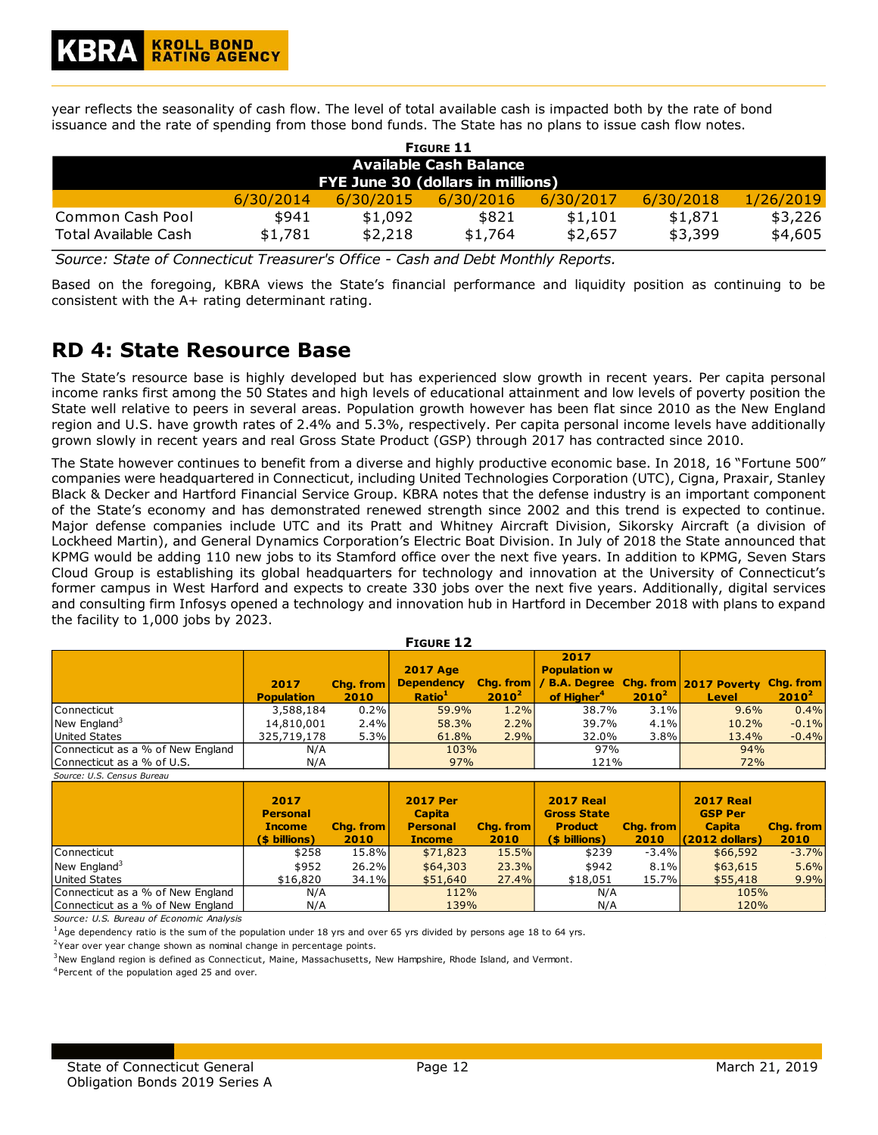year reflects the seasonality of cash flow. The level of total available cash is impacted both by the rate of bond issuance and the rate of spending from those bond funds. The State has no plans to issue cash flow notes.

| <b>FIGURE 11</b>                         |                  |                    |                  |                    |                    |                    |  |  |
|------------------------------------------|------------------|--------------------|------------------|--------------------|--------------------|--------------------|--|--|
| Available Cash Balance                   |                  |                    |                  |                    |                    |                    |  |  |
| FYE June 30 (dollars in millions)        |                  |                    |                  |                    |                    |                    |  |  |
|                                          | 6/30/2014        | 6/30/2015          | 6/30/2016        | 6/30/2017          | 6/30/2018          | 1/26/2019          |  |  |
| Common Cash Pool<br>Total Available Cash | \$941<br>\$1,781 | \$1,092<br>\$2,218 | \$821<br>\$1,764 | \$1,101<br>\$2,657 | \$1,871<br>\$3,399 | \$3,226<br>\$4,605 |  |  |

*Source: State of Connecticut Treasurer's Office - Cash and Debt Monthly Reports.*

Based on the foregoing, KBRA views the State's financial performance and liquidity position as continuing to be consistent with the A+ rating determinant rating.

## **RD 4: State Resource Base**

The State's resource base is highly developed but has experienced slow growth in recent years. Per capita personal income ranks first among the 50 States and high levels of educational attainment and low levels of poverty position the State well relative to peers in several areas. Population growth however has been flat since 2010 as the New England region and U.S. have growth rates of 2.4% and 5.3%, respectively. Per capita personal income levels have additionally grown slowly in recent years and real Gross State Product (GSP) through 2017 has contracted since 2010.

The State however continues to benefit from a diverse and highly productive economic base. In 2018, 16 "Fortune 500" companies were headquartered in Connecticut, including United Technologies Corporation (UTC), Cigna, Praxair, Stanley Black & Decker and Hartford Financial Service Group. KBRA notes that the defense industry is an important component of the State's economy and has demonstrated renewed strength since 2002 and this trend is expected to continue. Major defense companies include UTC and its Pratt and Whitney Aircraft Division, Sikorsky Aircraft (a division of Lockheed Martin), and General Dynamics Corporation's Electric Boat Division. In July of 2018 the State announced that KPMG would be adding 110 new jobs to its Stamford office over the next five years. In addition to KPMG, Seven Stars Cloud Group is establishing its global headquarters for technology and innovation at the University of Connecticut's former campus in West Harford and expects to create 330 jobs over the next five years. Additionally, digital services and consulting firm Infosys opened a technology and innovation hub in Hartford in December 2018 with plans to expand the facility to 1,000 jobs by 2023.

| <b>FIGURE 12</b>                  |                           |                   |                                                            |          |                                                       |          |                                                                              |          |  |
|-----------------------------------|---------------------------|-------------------|------------------------------------------------------------|----------|-------------------------------------------------------|----------|------------------------------------------------------------------------------|----------|--|
|                                   | 2017<br><b>Population</b> | Chg. from<br>2010 | <b>2017 Age</b><br><b>Dependency</b><br>Ratio <sup>1</sup> | $2010^2$ | 2017<br><b>Population w</b><br>of Higher <sup>4</sup> | $2010^2$ | Chg. from   / B.A. Degree Chg. from   2017 Poverty Chg. from<br><b>Level</b> | $2010^2$ |  |
| Connecticut                       | 3,588,184                 | 0.2%              | 59.9%                                                      | 1.2%     | 38.7%                                                 | 3.1%     | 9.6%                                                                         | 0.4%     |  |
| New England <sup>3</sup>          | 14,810,001                | 2.4%              | 58.3%                                                      | 2.2%     | 39.7%                                                 | $4.1\%$  | 10.2%                                                                        | $-0.1\%$ |  |
| <b>United States</b>              | 325,719,178               | 5.3%              | 61.8%                                                      | 2.9%     | 32.0%                                                 | 3.8%     | 13.4%                                                                        | $-0.4%$  |  |
| Connecticut as a % of New England | N/A                       |                   | 103%                                                       |          | 97%                                                   |          | 94%                                                                          |          |  |
| Connecticut as a % of U.S.        | N/A                       |                   | 97%                                                        |          | 121%                                                  |          | 72%                                                                          |          |  |

*Source: U.S. Census Bureau* **2017 Personal Income (\$ billions) Chg. from 2010 2017 Per Capita Personal Income Chg. from 2010 2017 Real Gross State Product (\$ billions) Chg. from 2010 2017 Real GSP Per Capita (2012 dollars) Chg. from 2010** Connecticut | \$258 15.8% | \$71,823 15.5% | \$239 -3.4% | \$66,592 -3.7% | New England<sup>3</sup> | \$952 26.2% <mark>| \$64,303 23.3%</mark> | \$942 8.1% | \$63,615 5.6% | United States | \$16,820 34.1% <mark>| \$51,640 27.4%</mark> \$18,051 15.7% <mark>| \$55,418 9.9%</mark> | Connecticut as a % of New England Connecticut as a % of New England N/A 112% | N/A 105% N/A 139% | N/A | 120%

*Source: U.S. Bureau of Economic Analysis*

 $1$ Age dependency ratio is the sum of the population under 18 yrs and over 65 yrs divided by persons age 18 to 64 yrs.

<sup>2</sup>Year over year change shown as nominal change in percentage points.

 $3$ New England region is defined as Connecticut, Maine, Massachusetts, New Hampshire, Rhode Island, and Vermont.

<sup>4</sup>Percent of the population aged 25 and over.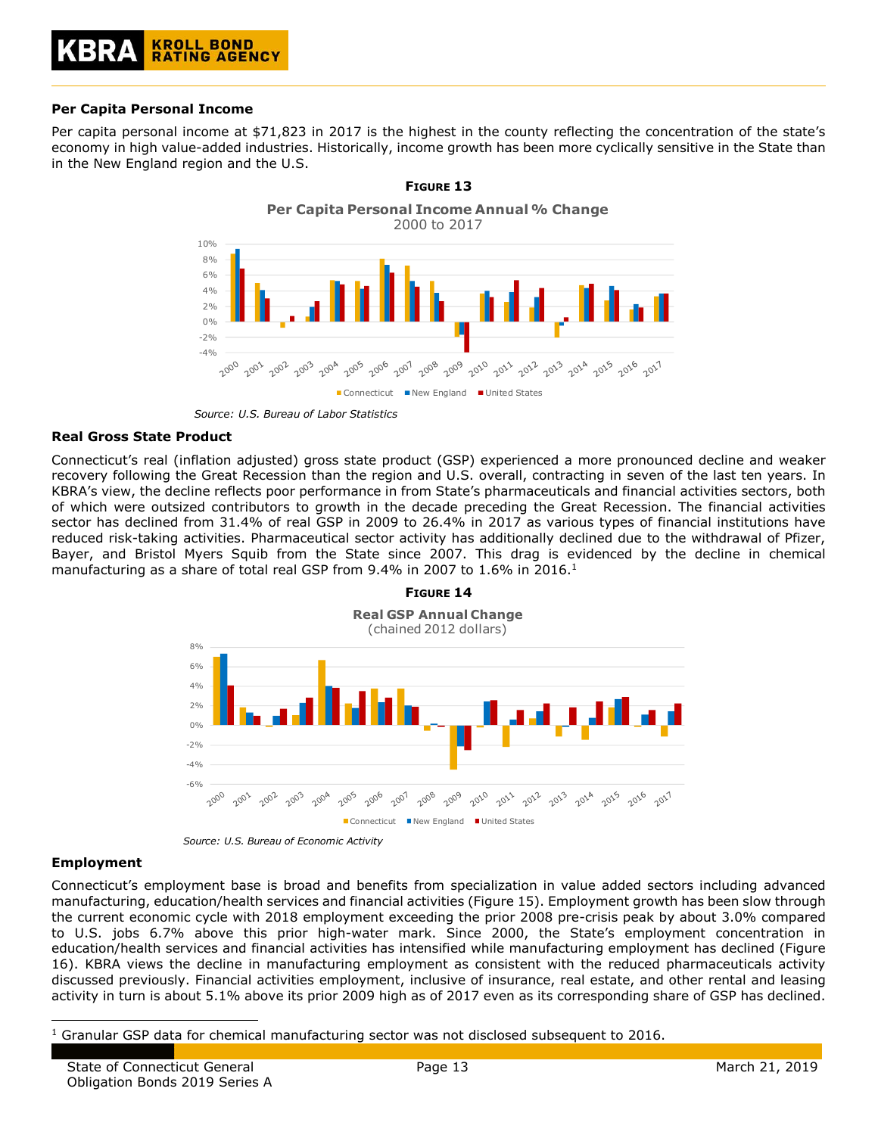#### **Per Capita Personal Income**

Per capita personal income at \$71,823 in 2017 is the highest in the county reflecting the concentration of the state's economy in high value-added industries. Historically, income growth has been more cyclically sensitive in the State than in the New England region and the U.S.



*Source: U.S. Bureau of Labor Statistics*

#### **Real Gross State Product**

Connecticut's real (inflation adjusted) gross state product (GSP) experienced a more pronounced decline and weaker recovery following the Great Recession than the region and U.S. overall, contracting in seven of the last ten years. In KBRA's view, the decline reflects poor performance in from State's pharmaceuticals and financial activities sectors, both of which were outsized contributors to growth in the decade preceding the Great Recession. The financial activities sector has declined from 31.4% of real GSP in 2009 to 26.4% in 2017 as various types of financial institutions have reduced risk-taking activities. Pharmaceutical sector activity has additionally declined due to the withdrawal of Pfizer, Bayer, and Bristol Myers Squib from the State since 2007. This drag is evidenced by the decline in chemical manufacturing as a share of total real GSP from 9.4% in 2007 to 1.6% in 2016.<sup>1</sup>



*Source: U.S. Bureau of Economic Activity*

#### **Employment**

ł

Connecticut's employment base is broad and benefits from specialization in value added sectors including advanced manufacturing, education/health services and financial activities (Figure 15). Employment growth has been slow through the current economic cycle with 2018 employment exceeding the prior 2008 pre-crisis peak by about 3.0% compared to U.S. jobs 6.7% above this prior high-water mark. Since 2000, the State's employment concentration in education/health services and financial activities has intensified while manufacturing employment has declined (Figure 16). KBRA views the decline in manufacturing employment as consistent with the reduced pharmaceuticals activity discussed previously. Financial activities employment, inclusive of insurance, real estate, and other rental and leasing activity in turn is about 5.1% above its prior 2009 high as of 2017 even as its corresponding share of GSP has declined.

 $1$  Granular GSP data for chemical manufacturing sector was not disclosed subsequent to 2016.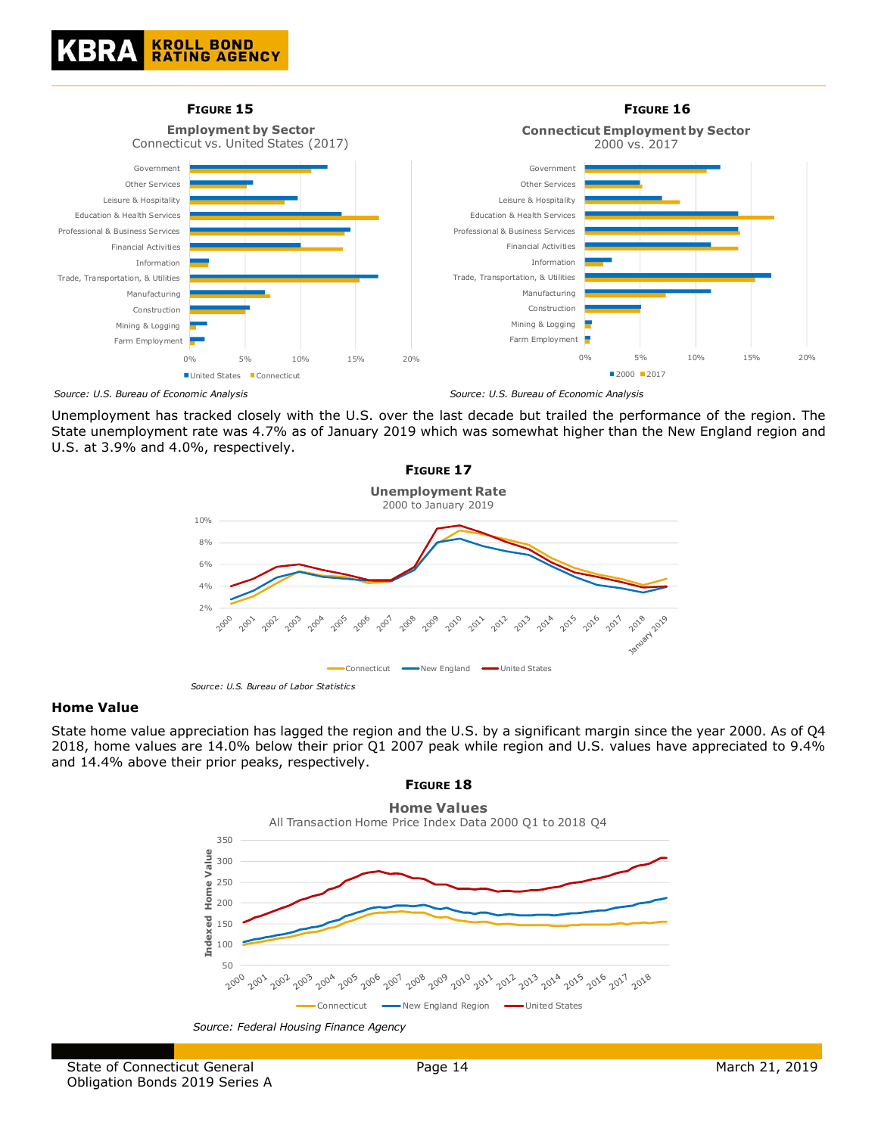



Unemployment has tracked closely with the U.S. over the last decade but trailed the performance of the region. The State unemployment rate was 4.7% as of January 2019 which was somewhat higher than the New England region and U.S. at 3.9% and 4.0%, respectively.



#### **Home Value**

State home value appreciation has lagged the region and the U.S. by a significant margin since the year 2000. As of Q4 2018, home values are 14.0% below their prior Q1 2007 peak while region and U.S. values have appreciated to 9.4% and 14.4% above their prior peaks, respectively.



### **FIGURE 18**

*Source: Federal Housing Finance Agency*